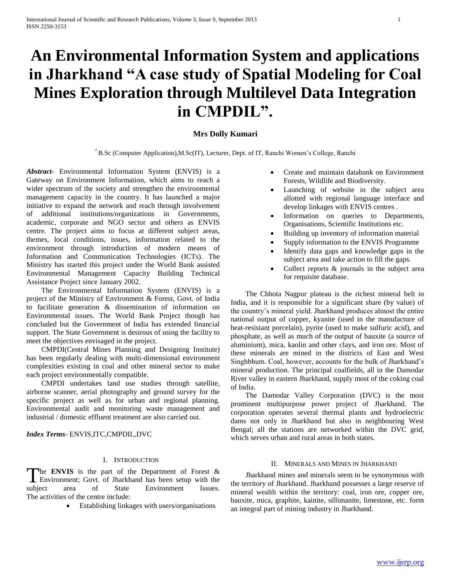# **An Environmental Information System and applications in Jharkhand "A case study of Spatial Modeling for Coal Mines Exploration through Multilevel Data Integration in CMPDIL".**

## **Mrs Dolly Kumari**

\* B.Sc (Computer Application),M.Sc(IT), Lecturer, Dept. of IT, Ranchi Women's College, Ranchi

*Abstract***-** Environmental Information System (ENVIS) is a Gateway on Environment Information, which aims to reach a wider spectrum of the society and strengthen the environmental management capacity in the country. It has launched a major initiative to expand the network and reach through involvement of additional institutions/organizations in Governments, academic, corporate and NGO sector and others as ENVIS centre. The project aims to focus at different subject areas, themes, local conditions, issues, information related to the environment through introduction of modern means of Information and Communication Technologies (ICTs). The Ministry has started this project under the World Bank assisted Environmental Management Capacity Building Technical Assistance Project since January 2002.

 The Environmental Information System (ENVIS) is a project of the Ministry of Environment & Forest, Govt. of India to facilitate generation & dissemination of information on Environmental issues. The World Bank Project though has concluded but the Government of India has extended financial support. The State Government is desirous of using the facility to meet the objectives envisaged in the project.

 CMPDI(Central Mines Planning and Designing Institute) has been regularly dealing with multi-dimensional environment complexities existing in coal and other mineral sector to make each project environmentally compatible.

 CMPDI undertakes land use studies through satellite, airborne scanner, aerial photography and ground survey for the specific project as well as for urban and regional planning. Environmental audit and monitoring waste management and industrial / domestic effluent treatment are also carried out.

*Index Terms*- ENVIS,ITC,CMPDIL,DVC

## I. INTRODUCTION

he **ENVIS** is the part of the Department of Forest & Environment; Govt. of Jharkhand has been setup with the The ENVIS is the part of the Department of Forest &<br>Environment; Govt. of Jharkhand has been setup with the<br>subject area of State Environment Issues. The activities of the centre include:

Establishing linkages with users/organisations

- Create and maintain databank on Environment Forests, Wildlife and Biodiversity.
- Launching of website in the subject area allotted with regional language interface and develop linkages with ENVIS centres .
- Information on queries to Departments, Organisations, Scientific Institutions etc.
- Building up inventory of information material
- Supply information to the ENVIS Programme
- Identify data gaps and knowledge gaps in the subject area and take action to fill the gaps.
- $\bullet$  Collect reports  $\&$  journals in the subject area for requisite database.

 The Chhota Nagpur plateau is the richest mineral belt in India, and it is responsible for a significant share (by value) of the country's mineral yield. Jharkhand produces almost the entire national output of copper, kyanite (used in the manufacture of heat-resistant porcelain), pyrite (used to make sulfuric acid), and phosphate, as well as much of the output of bauxite (a source of aluminium), mica, kaolin and other clays, and iron ore. Most of these minerals are mined in the districts of East and West Singhbhum. Coal, however, accounts for the bulk of Jharkhand's mineral production. The principal coalfields, all in the Damodar River valley in eastern Jharkhand, supply most of the coking coal of India.

 The Damodar Valley Corporation (DVC) is the most prominent multipurpose power project of Jharkhand. The corporation operates several thermal plants and hydroelectric dams not only in Jharkhand but also in neighbouring West Bengal; all the stations are networked within the DVC grid, which serves urban and rural areas in both states.

#### II. MINERALS AND MINES IN JHARKHAND

 Jharkhand mines and minerals seem to be synonymous with the territory of Jharkhand. Jharkhand possesses a large reserve of mineral wealth within the territory: coal, iron ore, copper ore, bauxite, mica, graphite, kainite, sillimanite, limestone, etc. form an integral part of mining industry in Jharkhand.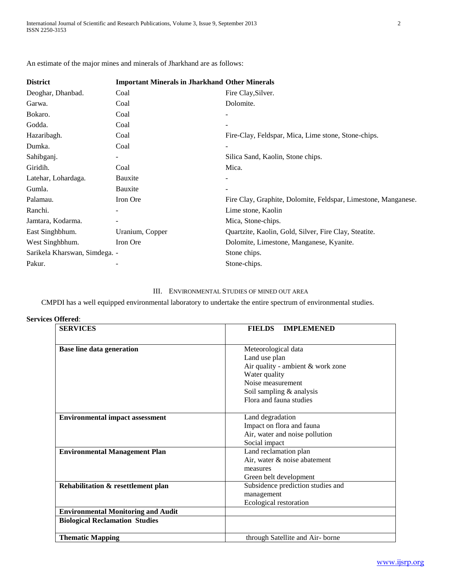| An estimate of the major mines and minerals of Jharkhand are as follows: |  |  |  |  |  |  |  |  |  |  |
|--------------------------------------------------------------------------|--|--|--|--|--|--|--|--|--|--|
|--------------------------------------------------------------------------|--|--|--|--|--|--|--|--|--|--|

| <b>Important Minerals in Jharkhand Other Minerals</b> |                                                                |  |  |  |
|-------------------------------------------------------|----------------------------------------------------------------|--|--|--|
| Coal                                                  | Fire Clay, Silver.                                             |  |  |  |
| Coal                                                  | Dolomite.                                                      |  |  |  |
| Coal                                                  | ٠                                                              |  |  |  |
| Coal                                                  |                                                                |  |  |  |
| Coal                                                  | Fire-Clay, Feldspar, Mica, Lime stone, Stone-chips.            |  |  |  |
| Coal                                                  | $\overline{a}$                                                 |  |  |  |
|                                                       | Silica Sand, Kaolin, Stone chips.                              |  |  |  |
| Coal                                                  | Mica.                                                          |  |  |  |
| Bauxite                                               |                                                                |  |  |  |
| Bauxite                                               |                                                                |  |  |  |
| Iron Ore                                              | Fire Clay, Graphite, Dolomite, Feldspar, Limestone, Manganese. |  |  |  |
|                                                       | Lime stone, Kaolin                                             |  |  |  |
|                                                       | Mica, Stone-chips.                                             |  |  |  |
| Uranium, Copper                                       | Quartzite, Kaolin, Gold, Silver, Fire Clay, Steatite.          |  |  |  |
| Iron Ore                                              | Dolomite, Limestone, Manganese, Kyanite.                       |  |  |  |
|                                                       | Stone chips.                                                   |  |  |  |
|                                                       | Stone-chips.                                                   |  |  |  |
|                                                       | Sarikela Kharswan, Simdega. -                                  |  |  |  |

# III. ENVIRONMENTAL STUDIES OF MINED OUT AREA

CMPDI has a well equipped environmental laboratory to undertake the entire spectrum of environmental studies.

| <b>Services Offered:</b> |
|--------------------------|
|                          |

| <b>SERVICES</b>                                                                    | <b>FIELDS</b><br><b>IMPLEMENED</b>                                                               |
|------------------------------------------------------------------------------------|--------------------------------------------------------------------------------------------------|
| Base line data generation                                                          | Meteorological data<br>Land use plan<br>Air quality - ambient & work zone<br>Water quality       |
|                                                                                    | Noise measurement<br>Soil sampling & analysis<br>Flora and fauna studies                         |
| <b>Environmental impact assessment</b>                                             | Land degradation<br>Impact on flora and fauna<br>Air, water and noise pollution<br>Social impact |
| <b>Environmental Management Plan</b>                                               | Land reclamation plan<br>Air, water & noise abatement<br>measures<br>Green belt development      |
| Rehabilitation & resettlement plan                                                 | Subsidence prediction studies and<br>management<br>Ecological restoration                        |
| <b>Environmental Monitoring and Audit</b><br><b>Biological Reclamation Studies</b> |                                                                                                  |
| <b>Thematic Mapping</b>                                                            | through Satellite and Air-borne                                                                  |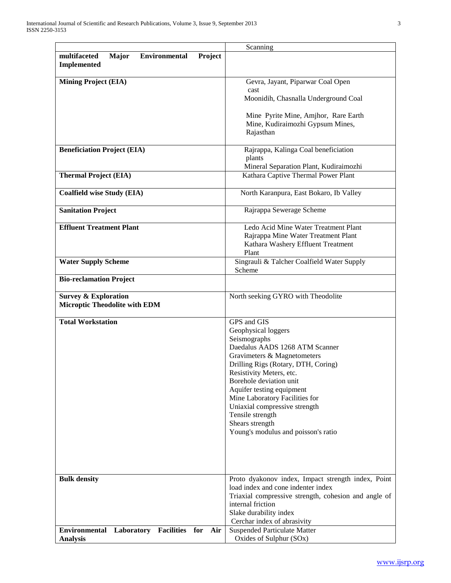|                                                                    | Scanning                                                                 |
|--------------------------------------------------------------------|--------------------------------------------------------------------------|
| multifaceted<br>Major<br><b>Environmental</b><br>Project           |                                                                          |
| <b>Implemented</b>                                                 |                                                                          |
|                                                                    |                                                                          |
| <b>Mining Project (EIA)</b>                                        | Gevra, Jayant, Piparwar Coal Open                                        |
|                                                                    | cast                                                                     |
|                                                                    | Moonidih, Chasnalla Underground Coal                                     |
|                                                                    |                                                                          |
|                                                                    | Mine Pyrite Mine, Amjhor, Rare Earth<br>Mine, Kudiraimozhi Gypsum Mines, |
|                                                                    | Rajasthan                                                                |
|                                                                    |                                                                          |
| <b>Beneficiation Project (EIA)</b>                                 | Rajrappa, Kalinga Coal beneficiation                                     |
|                                                                    | plants                                                                   |
|                                                                    | Mineral Separation Plant, Kudiraimozhi                                   |
| <b>Thermal Project (EIA)</b>                                       | Kathara Captive Thermal Power Plant                                      |
|                                                                    |                                                                          |
| <b>Coalfield wise Study (EIA)</b>                                  | North Karanpura, East Bokaro, Ib Valley                                  |
|                                                                    |                                                                          |
| <b>Sanitation Project</b>                                          | Rajrappa Sewerage Scheme                                                 |
|                                                                    |                                                                          |
| <b>Effluent Treatment Plant</b>                                    | Ledo Acid Mine Water Treatment Plant                                     |
|                                                                    | Rajrappa Mine Water Treatment Plant                                      |
|                                                                    | Kathara Washery Effluent Treatment                                       |
|                                                                    | Plant                                                                    |
| <b>Water Supply Scheme</b>                                         | Singrauli & Talcher Coalfield Water Supply                               |
|                                                                    | Scheme                                                                   |
| <b>Bio-reclamation Project</b>                                     |                                                                          |
|                                                                    |                                                                          |
| <b>Survey &amp; Exploration</b>                                    | North seeking GYRO with Theodolite                                       |
| <b>Microptic Theodolite with EDM</b>                               |                                                                          |
| <b>Total Workstation</b>                                           | GPS and GIS                                                              |
|                                                                    | Geophysical loggers                                                      |
|                                                                    | Seismographs                                                             |
|                                                                    | Daedalus AADS 1268 ATM Scanner                                           |
|                                                                    | Gravimeters & Magnetometers                                              |
|                                                                    | Drilling Rigs (Rotary, DTH, Coring)                                      |
|                                                                    | Resistivity Meters, etc.                                                 |
|                                                                    | Borehole deviation unit                                                  |
|                                                                    | Aquifer testing equipment                                                |
|                                                                    | Mine Laboratory Facilities for                                           |
|                                                                    | Uniaxial compressive strength                                            |
|                                                                    | Tensile strength                                                         |
|                                                                    |                                                                          |
|                                                                    | Shears strength                                                          |
|                                                                    | Young's modulus and poisson's ratio                                      |
|                                                                    |                                                                          |
|                                                                    |                                                                          |
|                                                                    |                                                                          |
|                                                                    |                                                                          |
| <b>Bulk density</b>                                                | Proto dyakonov index, Impact strength index, Point                       |
|                                                                    | load index and cone indenter index                                       |
|                                                                    | Triaxial compressive strength, cohesion and angle of                     |
|                                                                    | internal friction                                                        |
|                                                                    | Slake durability index                                                   |
|                                                                    | Cerchar index of abrasivity                                              |
| <b>Environmental Laboratory</b><br><b>Facilities</b><br>for<br>Air | <b>Suspended Particulate Matter</b>                                      |
| <b>Analysis</b>                                                    | Oxides of Sulphur (SOx)                                                  |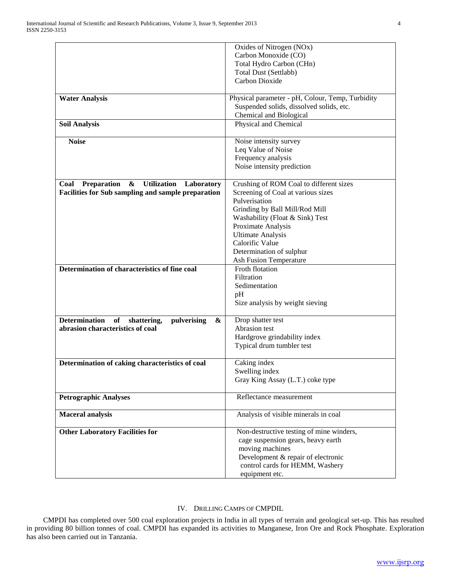|                                                               | Oxides of Nitrogen (NOx)                         |
|---------------------------------------------------------------|--------------------------------------------------|
|                                                               | Carbon Monoxide (CO)                             |
|                                                               | Total Hydro Carbon (CHn)                         |
|                                                               |                                                  |
|                                                               | <b>Total Dust (Settlabb)</b>                     |
|                                                               | Carbon Dioxide                                   |
| <b>Water Analysis</b>                                         | Physical parameter - pH, Colour, Temp, Turbidity |
|                                                               | Suspended solids, dissolved solids, etc.         |
|                                                               | Chemical and Biological                          |
| <b>Soil Analysis</b>                                          | Physical and Chemical                            |
| <b>Noise</b>                                                  |                                                  |
|                                                               | Noise intensity survey                           |
|                                                               | Leq Value of Noise                               |
|                                                               | Frequency analysis                               |
|                                                               | Noise intensity prediction                       |
| Preparation<br>&<br><b>Utilization</b><br>Coal<br>Laboratory  | Crushing of ROM Coal to different sizes          |
| <b>Facilities for Sub sampling and sample preparation</b>     | Screening of Coal at various sizes               |
|                                                               | Pulverisation                                    |
|                                                               | Grinding by Ball Mill/Rod Mill                   |
|                                                               | Washability (Float & Sink) Test                  |
|                                                               | Proximate Analysis                               |
|                                                               | <b>Ultimate Analysis</b>                         |
|                                                               | Calorific Value                                  |
|                                                               | Determination of sulphur                         |
|                                                               | <b>Ash Fusion Temperature</b>                    |
| Determination of characteristics of fine coal                 | Froth flotation                                  |
|                                                               | Filtration                                       |
|                                                               | Sedimentation                                    |
|                                                               |                                                  |
|                                                               | pH                                               |
|                                                               | Size analysis by weight sieving                  |
| <b>Determination</b><br>of<br>pulverising<br>shattering,<br>& | Drop shatter test                                |
| abrasion characteristics of coal                              | Abrasion test                                    |
|                                                               | Hardgrove grindability index                     |
|                                                               | Typical drum tumbler test                        |
| Determination of caking characteristics of coal               | Caking index                                     |
|                                                               | Swelling index                                   |
|                                                               | Gray King Assay (L.T.) coke type                 |
|                                                               |                                                  |
| <b>Petrographic Analyses</b>                                  | Reflectance measurement                          |
| <b>Maceral analysis</b>                                       | Analysis of visible minerals in coal             |
| <b>Other Laboratory Facilities for</b>                        | Non-destructive testing of mine winders,         |
|                                                               | cage suspension gears, heavy earth               |
|                                                               | moving machines                                  |
|                                                               | Development & repair of electronic               |
|                                                               | control cards for HEMM, Washery                  |
|                                                               | equipment etc.                                   |

## IV. DRILLING CAMPS OF CMPDIL

 CMPDI has completed over 500 coal exploration projects in India in all types of terrain and geological set-up. This has resulted in providing 80 billion tonnes of coal. CMPDI has expanded its activities to Manganese, Iron Ore and Rock Phosphate. Exploration has also been carried out in Tanzania.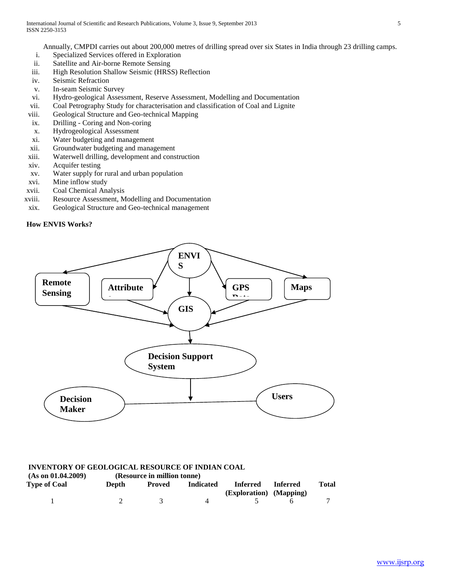Annually, CMPDI carries out about 200,000 metres of drilling spread over six States in India through 23 drilling camps.

- i. Specialized Services offered in Exploration
- ii. Satellite and Air-borne Remote Sensing
- iii. High Resolution Shallow Seismic (HRSS) Reflection
- iv. Seismic Refraction
- v. In-seam Seismic Survey
- vi. Hydro-geological Assessment, Reserve Assessment, Modelling and Documentation
- vii. Coal Petrography Study for characterisation and classification of Coal and Lignite
- viii. Geological Structure and Geo-technical Mapping
- ix. Drilling Coring and Non-coring
- x. Hydrogeological Assessment
- xi. Water budgeting and management
- xii. Groundwater budgeting and management
- xiii. Waterwell drilling, development and construction
- xiv. Acquifer testing
- xv. Water supply for rural and urban population
- xvi. Mine inflow study
- xvii. Coal Chemical Analysis
- xviii. Resource Assessment, Modelling and Documentation
- xix. Geological Structure and Geo-technical management





# **INVENTORY OF GEOLOGICAL RESOURCE OF INDIAN COAL**

| (As on 01.04.2009)  |       | (Resource in million tonne) |                  |                         |                 | Total |
|---------------------|-------|-----------------------------|------------------|-------------------------|-----------------|-------|
| <b>Type of Coal</b> | Depth | Proved                      | <b>Indicated</b> | Inferred                | <b>Inferred</b> |       |
|                     |       |                             |                  | (Exploration) (Mapping) |                 |       |
|                     |       |                             |                  |                         |                 |       |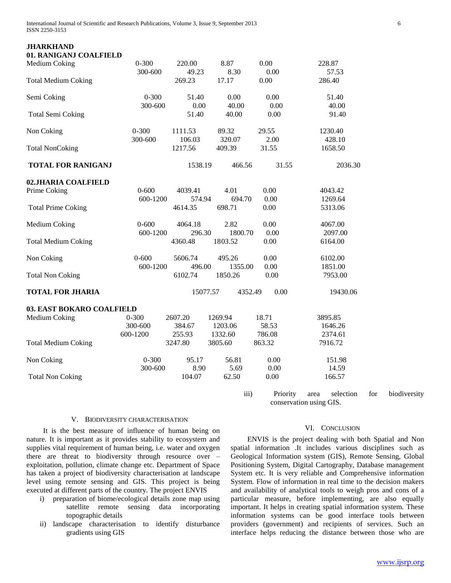International Journal of Scientific and Research Publications, Volume 3, Issue 9, September 2013 6 ISSN 2250-3153

### **JHARKHAND 01. RANIGANJ COALFIELD**

| от, котогодно солытый<br>Medium Coking | $0 - 300$<br>300-600 | 220.00<br>49.23   | 8.87<br>8.30    | 0.00<br>0.00    | 228.87<br>57.53        |
|----------------------------------------|----------------------|-------------------|-----------------|-----------------|------------------------|
| <b>Total Medium Coking</b>             |                      | 269.23            | 17.17           | 0.00            | 286.40                 |
| Semi Coking                            | $0 - 300$<br>300-600 | 51.40<br>0.00     | 0.00<br>40.00   | 0.00<br>0.00    | 51.40<br>40.00         |
| <b>Total Semi Coking</b>               |                      | 51.40             | 40.00           | 0.00            | 91.40                  |
| Non Coking                             | $0 - 300$            | 1111.53           | 89.32<br>320.07 | 29.55           | 1230.40                |
| <b>Total NonCoking</b>                 | 300-600              | 106.03<br>1217.56 | 409.39          | 2.00<br>31.55   | 428.10<br>1658.50      |
| <b>TOTAL FOR RANIGANJ</b>              |                      | 1538.19           | 466.56          | 31.55           | 2036.30                |
| 02.JHARIA COALFIELD                    |                      |                   |                 |                 |                        |
| Prime Coking                           | $0 - 600$            | 4039.41           | 4.01            | 0.00            | 4043.42                |
|                                        | 600-1200             | 574.94            | 694.70          | 0.00            | 1269.64                |
| <b>Total Prime Coking</b>              |                      | 4614.35           | 698.71          | 0.00            | 5313.06                |
| Medium Coking                          | $0 - 600$            | 4064.18           | 2.82            | 0.00            | 4067.00                |
|                                        | 600-1200             | 296.30            | 1800.70         | 0.00            | 2097.00                |
| <b>Total Medium Coking</b>             |                      | 4360.48           | 1803.52         | 0.00            | 6164.00                |
| Non Coking                             | $0 - 600$            | 5606.74           | 495.26          | 0.00            | 6102.00                |
|                                        | 600-1200             | 496.00            | 1355.00         | 0.00            | 1851.00                |
| <b>Total Non Coking</b>                |                      | 6102.74           | 1850.26         | 0.00            | 7953.00                |
| <b>TOTAL FOR JHARIA</b>                |                      | 15077.57          |                 | 0.00<br>4352.49 | 19430.06               |
| 03. EAST BOKARO COALFIELD              |                      |                   |                 |                 |                        |
| Medium Coking                          | $0 - 300$            | 2607.20           | 1269.94         | 18.71           | 3895.85                |
|                                        | 300-600              | 384.67            | 1203.06         | 58.53           | 1646.26                |
|                                        | 600-1200             | 255.93            | 1332.60         | 786.08          | 2374.61                |
| <b>Total Medium Coking</b>             |                      | 3247.80           | 3805.60         | 863.32          | 7916.72                |
| Non Coking                             | $0 - 300$            | 95.17             | 56.81           | 0.00            | 151.98                 |
|                                        | 300-600              | 8.90              | 5.69            | 0.00            | 14.59                  |
| <b>Total Non Coking</b>                |                      | 104.07            | 62.50           | $0.00\,$        | 166.57                 |
|                                        |                      |                   |                 | $2225 - 7$      | Drighter agon colonian |

iii) Priority area selection for biodiversity conservation using GIS.

#### V. BIODIVERSITY CHARACTERISATION

 It is the best measure of influence of human being on nature. It is important as it provides stability to ecosystem and supplies vital requirement of human being, i.e. water and oxygen there are threat to biodiversity through resource over – exploitation, pollution, climate change etc. Department of Space has taken a project of biodiversity characterisation at landscape level using remote sensing and GIS. This project is being executed at different parts of the country. The project ENVIS

- i) preparation of biome/ecological details zone map using satellite remote sensing data incorporating topographic details
- ii) landscape characterisation to identify disturbance gradients using GIS

#### VI. CONCLUSION

 ENVIS is the project dealing with both Spatial and Non spatial information .It includes various disciplines such as Geological Information system (GIS), Remote Sensing, Global Positioning System, Digital Cartography, Database management System etc. It is very reliable and Comprehensive information System. Flow of information in real time to the decision makers and availability of analytical tools to weigh pros and cons of a particular measure, before implementing, are also equally important. It helps in creating spatial information system. These information systems can be good interface tools between providers (government) and recipients of services. Such an interface helps reducing the distance between those who are